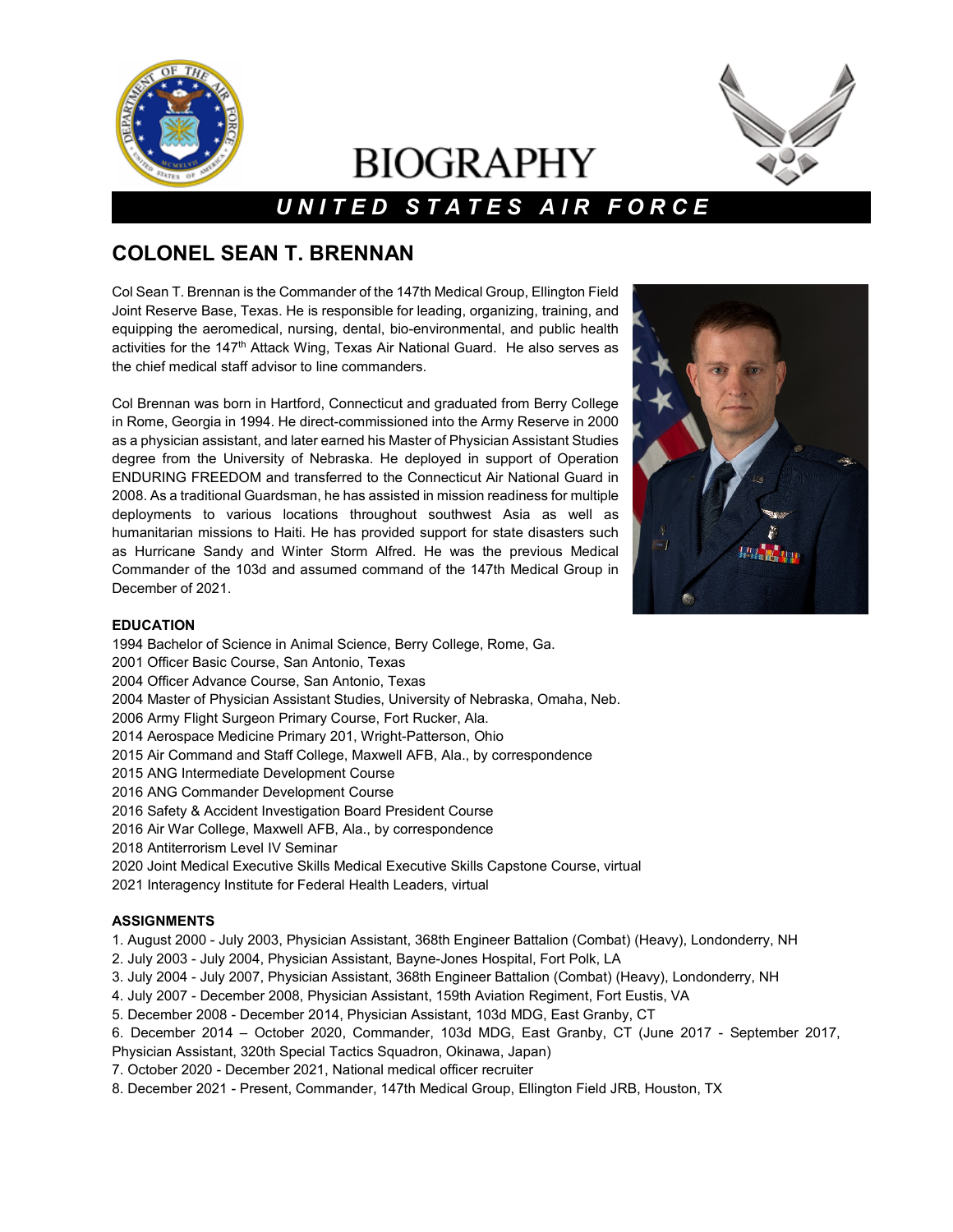

# **BIOGRAPHY**



## *U N I T E D S T A T E S A I R F O R C E*

### **COLONEL SEAN T. BRENNAN**

Col Sean T. Brennan is the Commander of the 147th Medical Group, Ellington Field Joint Reserve Base, Texas. He is responsible for leading, organizing, training, and equipping the aeromedical, nursing, dental, bio-environmental, and public health activities for the 147<sup>th</sup> Attack Wing, Texas Air National Guard. He also serves as the chief medical staff advisor to line commanders.

Col Brennan was born in Hartford, Connecticut and graduated from Berry College in Rome, Georgia in 1994. He direct-commissioned into the Army Reserve in 2000 as a physician assistant, and later earned his Master of Physician Assistant Studies degree from the University of Nebraska. He deployed in support of Operation ENDURING FREEDOM and transferred to the Connecticut Air National Guard in 2008. As a traditional Guardsman, he has assisted in mission readiness for multiple deployments to various locations throughout southwest Asia as well as humanitarian missions to Haiti. He has provided support for state disasters such as Hurricane Sandy and Winter Storm Alfred. He was the previous Medical Commander of the 103d and assumed command of the 147th Medical Group in December of 2021.



#### **EDUCATION**

1994 Bachelor of Science in Animal Science, Berry College, Rome, Ga. 2001 Officer Basic Course, San Antonio, Texas 2004 Officer Advance Course, San Antonio, Texas 2004 Master of Physician Assistant Studies, University of Nebraska, Omaha, Neb. 2006 Army Flight Surgeon Primary Course, Fort Rucker, Ala. 2014 Aerospace Medicine Primary 201, Wright-Patterson, Ohio 2015 Air Command and Staff College, Maxwell AFB, Ala., by correspondence 2015 ANG Intermediate Development Course 2016 ANG Commander Development Course 2016 Safety & Accident Investigation Board President Course 2016 Air War College, Maxwell AFB, Ala., by correspondence 2018 Antiterrorism Level IV Seminar 2020 Joint Medical Executive Skills Medical Executive Skills Capstone Course, virtual

#### 2021 Interagency Institute for Federal Health Leaders, virtual

#### **ASSIGNMENTS**

1. August 2000 - July 2003, Physician Assistant, 368th Engineer Battalion (Combat) (Heavy), Londonderry, NH

- 2. July 2003 July 2004, Physician Assistant, Bayne-Jones Hospital, Fort Polk, LA
- 3. July 2004 July 2007, Physician Assistant, 368th Engineer Battalion (Combat) (Heavy), Londonderry, NH
- 4. July 2007 December 2008, Physician Assistant, 159th Aviation Regiment, Fort Eustis, VA
- 5. December 2008 December 2014, Physician Assistant, 103d MDG, East Granby, CT
- 6. December 2014 October 2020, Commander, 103d MDG, East Granby, CT (June 2017 September 2017,
- Physician Assistant, 320th Special Tactics Squadron, Okinawa, Japan)
- 7. October 2020 December 2021, National medical officer recruiter
- 8. December 2021 Present, Commander, 147th Medical Group, Ellington Field JRB, Houston, TX